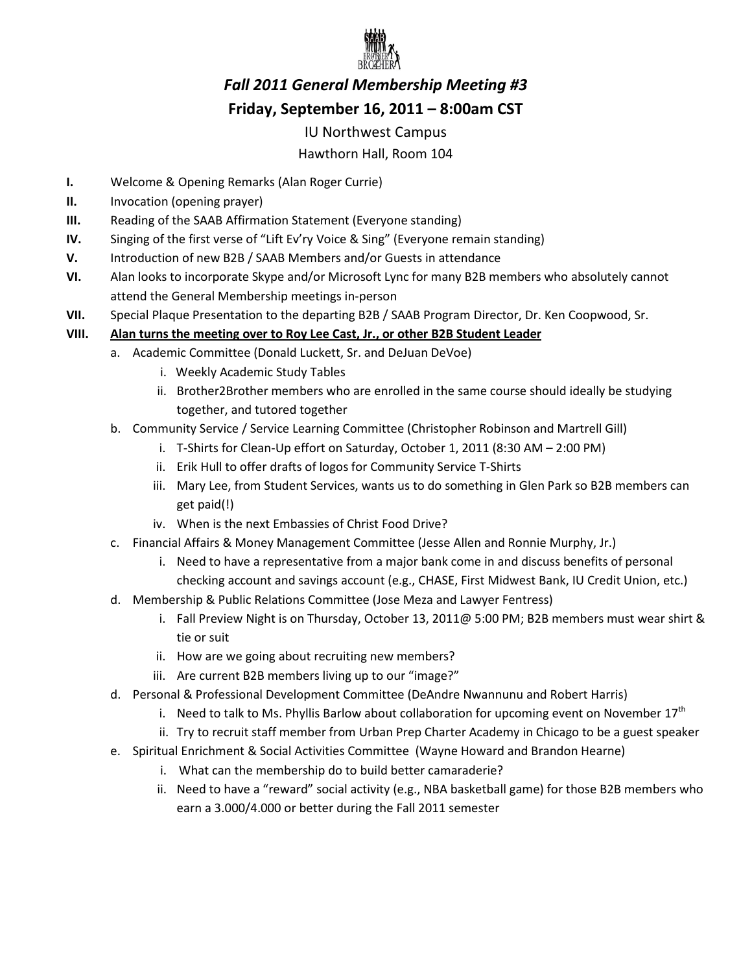

# *Fall 2011 General Membership Meeting #3*  **Friday, September 16, 2011 – 8:00am CST**

### IU Northwest Campus

## Hawthorn Hall, Room 104

- **I.** Welcome & Opening Remarks (Alan Roger Currie)
- **II.** Invocation (opening prayer)
- **III.** Reading of the SAAB Affirmation Statement (Everyone standing)
- **IV.** Singing of the first verse of "Lift Ev'ry Voice & Sing" (Everyone remain standing)
- **V.** Introduction of new B2B / SAAB Members and/or Guests in attendance
- **VI.** Alan looks to incorporate Skype and/or Microsoft Lync for many B2B members who absolutely cannot attend the General Membership meetings in-person
- **VII.** Special Plaque Presentation to the departing B2B / SAAB Program Director, Dr. Ken Coopwood, Sr.

### **VIII. Alan turns the meeting over to Roy Lee Cast, Jr., or other B2B Student Leader**

- a. Academic Committee (Donald Luckett, Sr. and DeJuan DeVoe)
	- i. Weekly Academic Study Tables
	- ii. Brother2Brother members who are enrolled in the same course should ideally be studying together, and tutored together
- b. Community Service / Service Learning Committee (Christopher Robinson and Martrell Gill)
	- i. T-Shirts for Clean-Up effort on Saturday, October 1, 2011 (8:30 AM 2:00 PM)
	- ii. Erik Hull to offer drafts of logos for Community Service T-Shirts
	- iii. Mary Lee, from Student Services, wants us to do something in Glen Park so B2B members can get paid(!)
	- iv. When is the next Embassies of Christ Food Drive?
- c. Financial Affairs & Money Management Committee (Jesse Allen and Ronnie Murphy, Jr.)
	- i. Need to have a representative from a major bank come in and discuss benefits of personal checking account and savings account (e.g., CHASE, First Midwest Bank, IU Credit Union, etc.)
- d. Membership & Public Relations Committee (Jose Meza and Lawyer Fentress)
	- i. Fall Preview Night is on Thursday, October 13, 2011@ 5:00 PM; B2B members must wear shirt & tie or suit
	- ii. How are we going about recruiting new members?
	- iii. Are current B2B members living up to our "image?"
- d. Personal & Professional Development Committee (DeAndre Nwannunu and Robert Harris)
	- i. Need to talk to Ms. Phyllis Barlow about collaboration for upcoming event on November  $17<sup>th</sup>$
	- ii. Try to recruit staff member from Urban Prep Charter Academy in Chicago to be a guest speaker
- e. Spiritual Enrichment & Social Activities Committee (Wayne Howard and Brandon Hearne)
	- i. What can the membership do to build better camaraderie?
	- ii. Need to have a "reward" social activity (e.g., NBA basketball game) for those B2B members who earn a 3.000/4.000 or better during the Fall 2011 semester